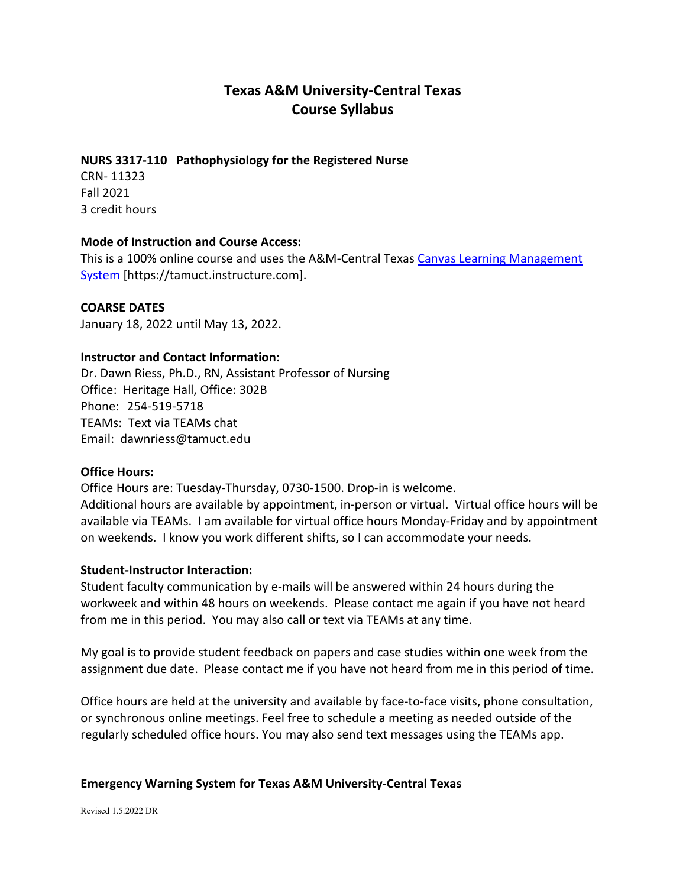# **Texas A&M University-Central Texas Course Syllabus**

## **NURS 3317-110 Pathophysiology for the Registered Nurse**

CRN- 11323 Fall 2021 3 credit hours

### **Mode of Instruction and Course Access:**

This is a 100% online course and uses the A&M-Central Texas Canvas Learning Management [System](https://tamuct.instructure.com/) [https://tamuct.instructure.com].

**COARSE DATES**

January 18, 2022 until May 13, 2022.

### **Instructor and Contact Information:**

Dr. Dawn Riess, Ph.D., RN, Assistant Professor of Nursing Office: Heritage Hall, Office: 302B Phone: 254-519-5718 TEAMs: Text via TEAMs chat Email: dawnriess@tamuct.edu

## **Office Hours:**

Office Hours are: Tuesday-Thursday, 0730-1500. Drop-in is welcome. Additional hours are available by appointment, in-person or virtual. Virtual office hours will be available via TEAMs. I am available for virtual office hours Monday-Friday and by appointment on weekends. I know you work different shifts, so I can accommodate your needs.

## **Student-Instructor Interaction:**

Student faculty communication by e-mails will be answered within 24 hours during the workweek and within 48 hours on weekends. Please contact me again if you have not heard from me in this period. You may also call or text via TEAMs at any time.

My goal is to provide student feedback on papers and case studies within one week from the assignment due date. Please contact me if you have not heard from me in this period of time.

Office hours are held at the university and available by face-to-face visits, phone consultation, or synchronous online meetings. Feel free to schedule a meeting as needed outside of the regularly scheduled office hours. You may also send text messages using the TEAMs app.

### **Emergency Warning System for Texas A&M University-Central Texas**

Revised 1.5.2022 DR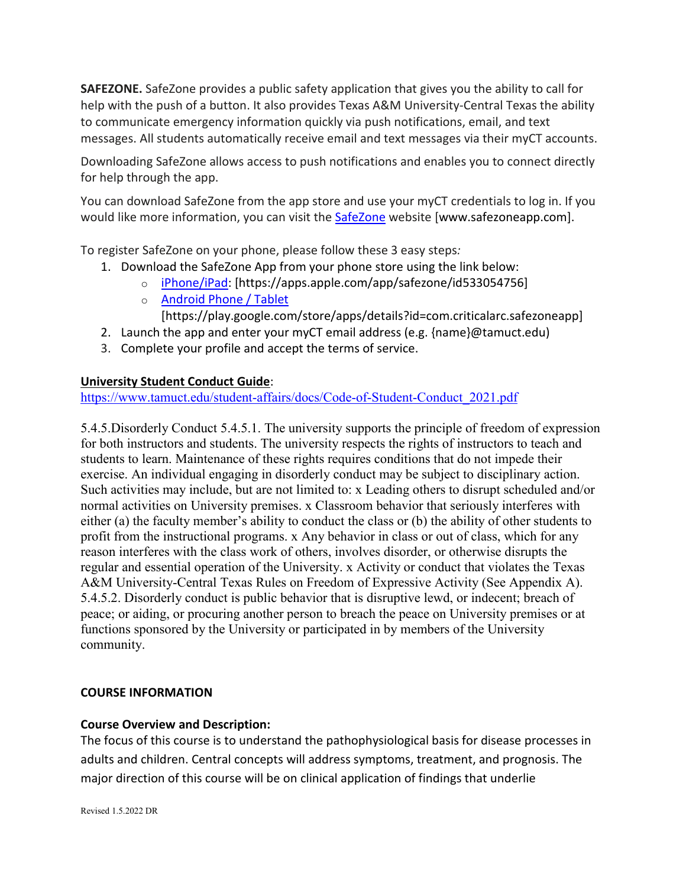**SAFEZONE.** SafeZone provides a public safety application that gives you the ability to call for help with the push of a button. It also provides Texas A&M University-Central Texas the ability to communicate emergency information quickly via push notifications, email, and text messages. All students automatically receive email and text messages via their myCT accounts.

Downloading SafeZone allows access to push notifications and enables you to connect directly for help through the app.

You can download SafeZone from the app store and use your myCT credentials to log in. If you would like more information, you can visit the [SafeZone](http://www.safezoneapp.com/) website [www.safezoneapp.com].

To register SafeZone on your phone, please follow these 3 easy steps*:*

- 1. Download the SafeZone App from your phone store using the link below:
	- o [iPhone/iPad:](https://apps.apple.com/app/safezone/id533054756) [https://apps.apple.com/app/safezone/id533054756]
		- o [Android Phone / Tablet](https://play.google.com/store/apps/details?id=com.criticalarc.safezoneapp)

[https://play.google.com/store/apps/details?id=com.criticalarc.safezoneapp]

- 2. Launch the app and enter your myCT email address (e.g. {name}@tamuct.edu)
- 3. Complete your profile and accept the terms of service.

# **University Student Conduct Guide**:

[https://www.tamuct.edu/student-affairs/docs/Code-of-Student-Conduct\\_2021.pdf](https://nam04.safelinks.protection.outlook.com/?url=https%3A%2F%2Fwww.tamuct.edu%2Fstudent-affairs%2Fdocs%2FCode-of-Student-Conduct_2021.pdf&data=04%7C01%7Cdawnriess%40tamuct.edu%7Cd23b1ef83aef447a684e08d9640b8c11%7C9eed4e3000f744849ff193ad8005acec%7C0%7C0%7C637650823013530413%7CUnknown%7CTWFpbGZsb3d8eyJWIjoiMC4wLjAwMDAiLCJQIjoiV2luMzIiLCJBTiI6Ik1haWwiLCJXVCI6Mn0%3D%7C1000&sdata=HNULVdxv%2BBEa15A9lbFtYlohZEWbxKqePKBT15SRg10%3D&reserved=0)

5.4.5.Disorderly Conduct 5.4.5.1. The university supports the principle of freedom of expression for both instructors and students. The university respects the rights of instructors to teach and students to learn. Maintenance of these rights requires conditions that do not impede their exercise. An individual engaging in disorderly conduct may be subject to disciplinary action. Such activities may include, but are not limited to: x Leading others to disrupt scheduled and/or normal activities on University premises. x Classroom behavior that seriously interferes with either (a) the faculty member's ability to conduct the class or (b) the ability of other students to profit from the instructional programs. x Any behavior in class or out of class, which for any reason interferes with the class work of others, involves disorder, or otherwise disrupts the regular and essential operation of the University. x Activity or conduct that violates the Texas A&M University-Central Texas Rules on Freedom of Expressive Activity (See Appendix A). 5.4.5.2. Disorderly conduct is public behavior that is disruptive lewd, or indecent; breach of peace; or aiding, or procuring another person to breach the peace on University premises or at functions sponsored by the University or participated in by members of the University community.

## **COURSE INFORMATION**

# **Course Overview and Description:**

The focus of this course is to understand the pathophysiological basis for disease processes in adults and children. Central concepts will address symptoms, treatment, and prognosis. The major direction of this course will be on clinical application of findings that underlie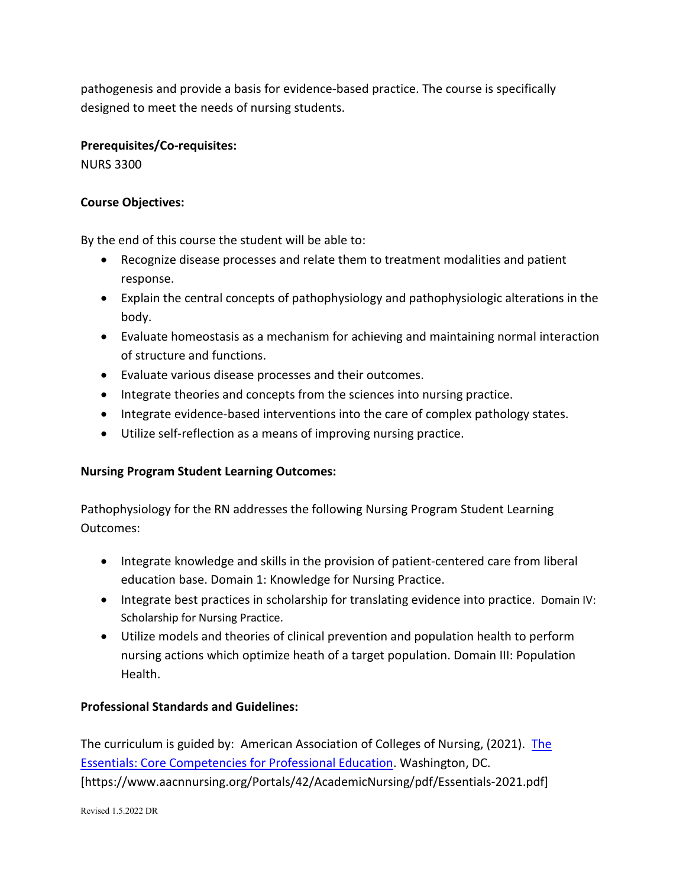pathogenesis and provide a basis for evidence-based practice. The course is specifically designed to meet the needs of nursing students.

# **Prerequisites/Co-requisites:**

NURS 3300

## **Course Objectives:**

By the end of this course the student will be able to:

- Recognize disease processes and relate them to treatment modalities and patient response.
- Explain the central concepts of pathophysiology and pathophysiologic alterations in the body.
- Evaluate homeostasis as a mechanism for achieving and maintaining normal interaction of structure and functions.
- Evaluate various disease processes and their outcomes.
- Integrate theories and concepts from the sciences into nursing practice.
- Integrate evidence-based interventions into the care of complex pathology states.
- Utilize self-reflection as a means of improving nursing practice.

# **Nursing Program Student Learning Outcomes:**

Pathophysiology for the RN addresses the following Nursing Program Student Learning Outcomes:

- Integrate knowledge and skills in the provision of patient-centered care from liberal education base. Domain 1: Knowledge for Nursing Practice.
- Integrate best practices in scholarship for translating evidence into practice. Domain IV: Scholarship for Nursing Practice.
- Utilize models and theories of clinical prevention and population health to perform nursing actions which optimize heath of a target population. Domain III: Population Health.

# **Professional Standards and Guidelines:**

The curriculum is guided by: American Association of Colleges of Nursing, (2021). [The](https://www.aacnnursing.org/Portals/42/AcademicNursing/pdf/Essentials-2021.pdf)  [Essentials: Core Competencies for Professional Education.](https://www.aacnnursing.org/Portals/42/AcademicNursing/pdf/Essentials-2021.pdf) Washington, DC. [https://www.aacnnursing.org/Portals/42/AcademicNursing/pdf/Essentials-2021.pdf]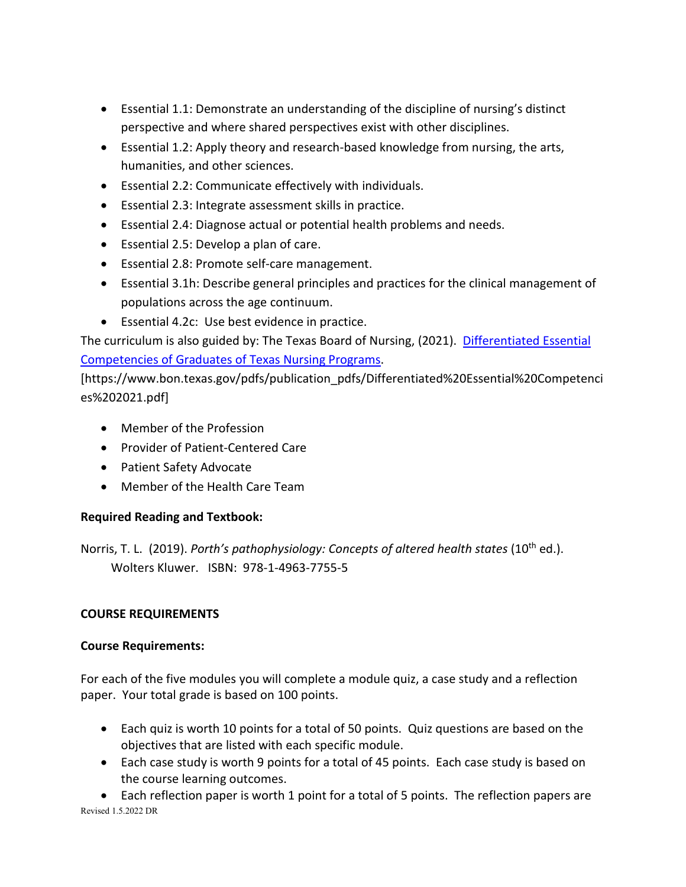- Essential 1.1: Demonstrate an understanding of the discipline of nursing's distinct perspective and where shared perspectives exist with other disciplines.
- Essential 1.2: Apply theory and research-based knowledge from nursing, the arts, humanities, and other sciences.
- Essential 2.2: Communicate effectively with individuals.
- Essential 2.3: Integrate assessment skills in practice.
- Essential 2.4: Diagnose actual or potential health problems and needs.
- Essential 2.5: Develop a plan of care.
- Essential 2.8: Promote self-care management.
- Essential 3.1h: Describe general principles and practices for the clinical management of populations across the age continuum.
- Essential 4.2c: Use best evidence in practice.

The curriculum is also guided by: The Texas Board of Nursing, (2021). [Differentiated Essential](https://www.bon.texas.gov/pdfs/publication_pdfs/Differentiated%20Essential%20Competencies%202021.pdf)  Competencies of [Graduates of Texas Nursing Programs.](https://www.bon.texas.gov/pdfs/publication_pdfs/Differentiated%20Essential%20Competencies%202021.pdf)

[https://www.bon.texas.gov/pdfs/publication\_pdfs/Differentiated%20Essential%20Competenci es%202021.pdf]

- Member of the Profession
- Provider of Patient-Centered Care
- Patient Safety Advocate
- Member of the Health Care Team

# **Required Reading and Textbook:**

Norris, T. L. (2019). *Porth's pathophysiology: Concepts of altered health states* (10<sup>th</sup> ed.). Wolters Kluwer. ISBN: 978-1-4963-7755-5

# **COURSE REQUIREMENTS**

# **Course Requirements:**

For each of the five modules you will complete a module quiz, a case study and a reflection paper. Your total grade is based on 100 points.

- Each quiz is worth 10 points for a total of 50 points. Quiz questions are based on the objectives that are listed with each specific module.
- Each case study is worth 9 points for a total of 45 points. Each case study is based on the course learning outcomes.

Revised 1.5.2022 DR • Each reflection paper is worth 1 point for a total of 5 points. The reflection papers are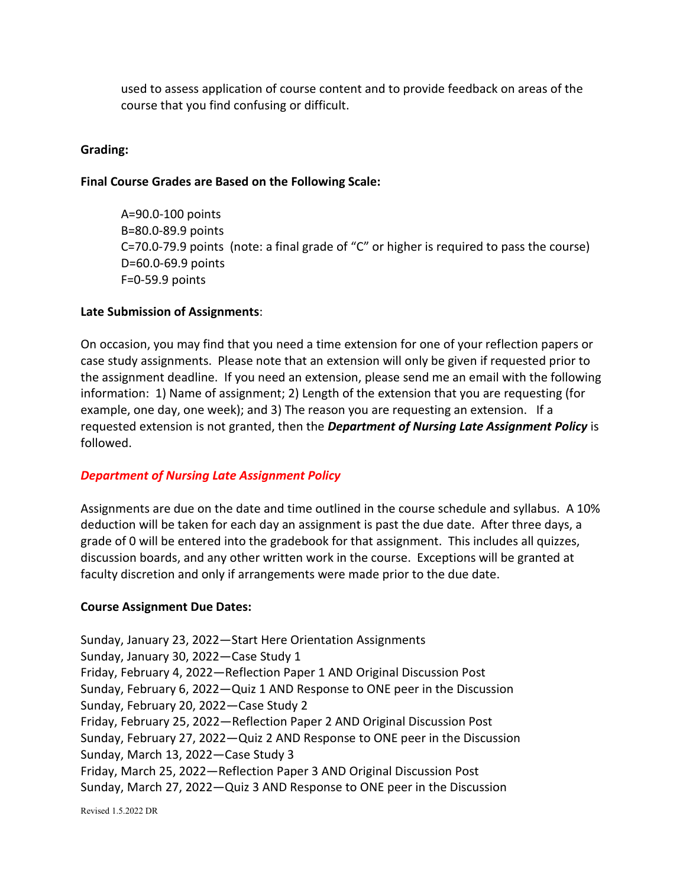used to assess application of course content and to provide feedback on areas of the course that you find confusing or difficult.

## **Grading:**

## **Final Course Grades are Based on the Following Scale:**

A=90.0-100 points B=80.0-89.9 points C=70.0-79.9 points (note: a final grade of "C" or higher is required to pass the course) D=60.0-69.9 points F=0-59.9 points

## **Late Submission of Assignments**:

On occasion, you may find that you need a time extension for one of your reflection papers or case study assignments. Please note that an extension will only be given if requested prior to the assignment deadline. If you need an extension, please send me an email with the following information: 1) Name of assignment; 2) Length of the extension that you are requesting (for example, one day, one week); and 3) The reason you are requesting an extension. If a requested extension is not granted, then the *Department of Nursing Late Assignment Policy* is followed.

# *Department of Nursing Late Assignment Policy*

Assignments are due on the date and time outlined in the course schedule and syllabus. A 10% deduction will be taken for each day an assignment is past the due date. After three days, a grade of 0 will be entered into the gradebook for that assignment. This includes all quizzes, discussion boards, and any other written work in the course. Exceptions will be granted at faculty discretion and only if arrangements were made prior to the due date.

## **Course Assignment Due Dates:**

Sunday, January 23, 2022—Start Here Orientation Assignments Sunday, January 30, 2022—Case Study 1 Friday, February 4, 2022—Reflection Paper 1 AND Original Discussion Post Sunday, February 6, 2022—Quiz 1 AND Response to ONE peer in the Discussion Sunday, February 20, 2022—Case Study 2 Friday, February 25, 2022—Reflection Paper 2 AND Original Discussion Post Sunday, February 27, 2022—Quiz 2 AND Response to ONE peer in the Discussion Sunday, March 13, 2022—Case Study 3 Friday, March 25, 2022—Reflection Paper 3 AND Original Discussion Post Sunday, March 27, 2022—Quiz 3 AND Response to ONE peer in the Discussion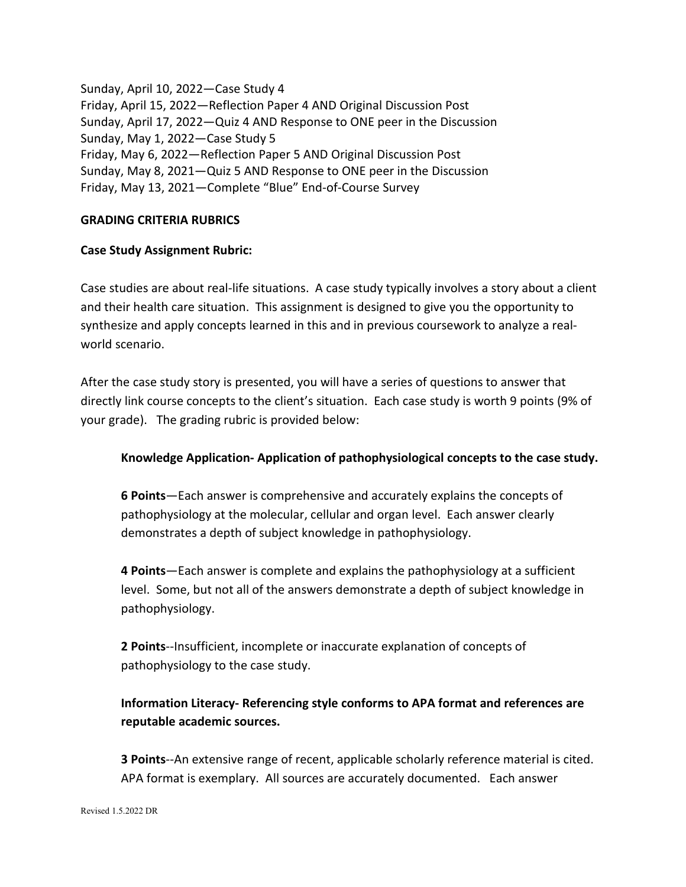Sunday, April 10, 2022—Case Study 4 Friday, April 15, 2022—Reflection Paper 4 AND Original Discussion Post Sunday, April 17, 2022—Quiz 4 AND Response to ONE peer in the Discussion Sunday, May 1, 2022—Case Study 5 Friday, May 6, 2022—Reflection Paper 5 AND Original Discussion Post Sunday, May 8, 2021—Quiz 5 AND Response to ONE peer in the Discussion Friday, May 13, 2021—Complete "Blue" End-of-Course Survey

### **GRADING CRITERIA RUBRICS**

### **Case Study Assignment Rubric:**

Case studies are about real-life situations. A case study typically involves a story about a client and their health care situation. This assignment is designed to give you the opportunity to synthesize and apply concepts learned in this and in previous coursework to analyze a realworld scenario.

After the case study story is presented, you will have a series of questions to answer that directly link course concepts to the client's situation. Each case study is worth 9 points (9% of your grade). The grading rubric is provided below:

## **Knowledge Application- Application of pathophysiological concepts to the case study.**

**6 Points**—Each answer is comprehensive and accurately explains the concepts of pathophysiology at the molecular, cellular and organ level. Each answer clearly demonstrates a depth of subject knowledge in pathophysiology.

**4 Points**—Each answer is complete and explains the pathophysiology at a sufficient level. Some, but not all of the answers demonstrate a depth of subject knowledge in pathophysiology.

**2 Points**--Insufficient, incomplete or inaccurate explanation of concepts of pathophysiology to the case study.

# **Information Literacy- Referencing style conforms to APA format and references are reputable academic sources.**

**3 Points**--An extensive range of recent, applicable scholarly reference material is cited. APA format is exemplary. All sources are accurately documented. Each answer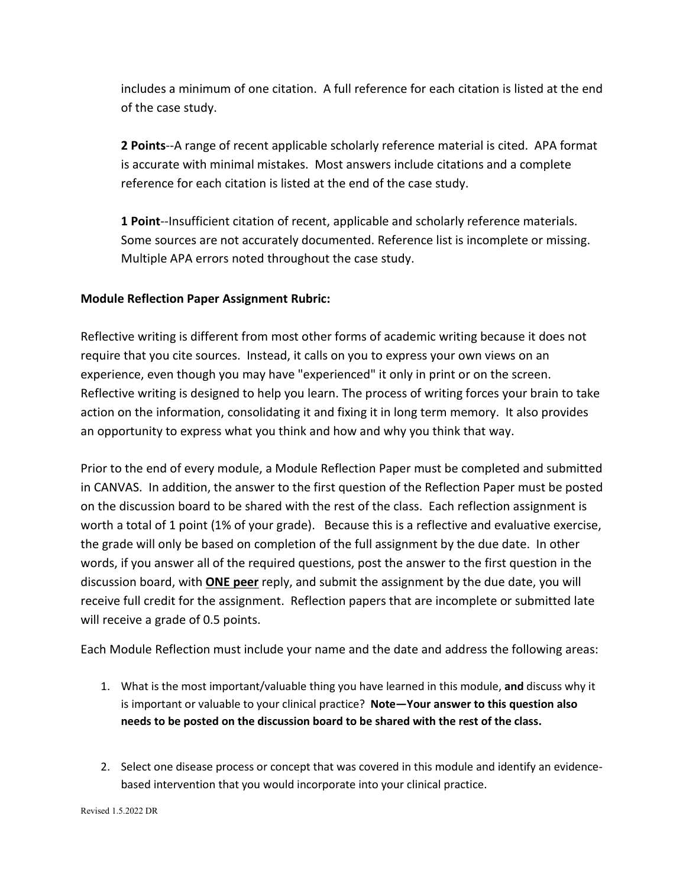includes a minimum of one citation. A full reference for each citation is listed at the end of the case study.

**2 Points**--A range of recent applicable scholarly reference material is cited. APA format is accurate with minimal mistakes. Most answers include citations and a complete reference for each citation is listed at the end of the case study.

**1 Point**--Insufficient citation of recent, applicable and scholarly reference materials. Some sources are not accurately documented. Reference list is incomplete or missing. Multiple APA errors noted throughout the case study.

# **Module Reflection Paper Assignment Rubric:**

Reflective writing is different from most other forms of academic writing because it does not require that you cite sources. Instead, it calls on you to express your own views on an experience, even though you may have "experienced" it only in print or on the screen. Reflective writing is designed to help you learn. The process of writing forces your brain to take action on the information, consolidating it and fixing it in long term memory. It also provides an opportunity to express what you think and how and why you think that way.

Prior to the end of every module, a Module Reflection Paper must be completed and submitted in CANVAS. In addition, the answer to the first question of the Reflection Paper must be posted on the discussion board to be shared with the rest of the class. Each reflection assignment is worth a total of 1 point (1% of your grade). Because this is a reflective and evaluative exercise, the grade will only be based on completion of the full assignment by the due date. In other words, if you answer all of the required questions, post the answer to the first question in the discussion board, with **ONE peer** reply, and submit the assignment by the due date, you will receive full credit for the assignment. Reflection papers that are incomplete or submitted late will receive a grade of 0.5 points.

Each Module Reflection must include your name and the date and address the following areas:

- 1. What is the most important/valuable thing you have learned in this module, **and** discuss why it is important or valuable to your clinical practice? **Note—Your answer to this question also needs to be posted on the discussion board to be shared with the rest of the class.**
- 2. Select one disease process or concept that was covered in this module and identify an evidencebased intervention that you would incorporate into your clinical practice.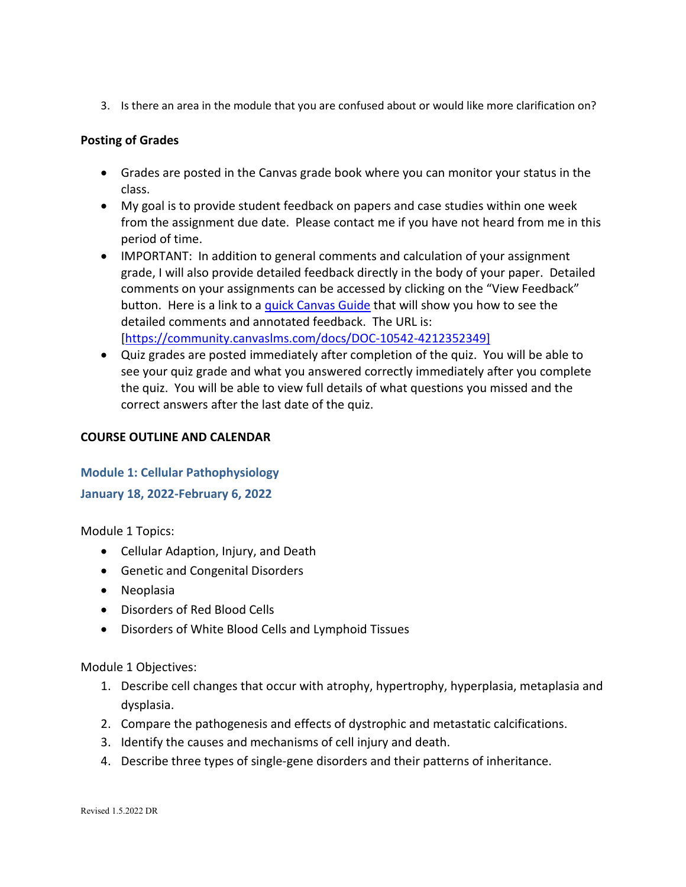3. Is there an area in the module that you are confused about or would like more clarification on?

# **Posting of Grades**

- Grades are posted in the Canvas grade book where you can monitor your status in the class.
- My goal is to provide student feedback on papers and case studies within one week from the assignment due date. Please contact me if you have not heard from me in this period of time.
- IMPORTANT: In addition to general comments and calculation of your assignment grade, I will also provide detailed feedback directly in the body of your paper. Detailed comments on your assignments can be accessed by clicking on the "View Feedback" button. Here is a link to a [quick Canvas Guide](https://community.canvaslms.com/docs/DOC-10542-4212352349) that will show you how to see the detailed comments and annotated feedback. The URL is: [\[https://community.canvaslms.com/docs/DOC-10542-4212352349\]](https://community.canvaslms.com/docs/DOC-10542-4212352349)
- Quiz grades are posted immediately after completion of the quiz. You will be able to see your quiz grade and what you answered correctly immediately after you complete the quiz. You will be able to view full details of what questions you missed and the correct answers after the last date of the quiz.

# **COURSE OUTLINE AND CALENDAR**

# **Module 1: Cellular Pathophysiology**

**January 18, 2022-February 6, 2022**

Module 1 Topics:

- Cellular Adaption, Injury, and Death
- Genetic and Congenital Disorders
- Neoplasia
- Disorders of Red Blood Cells
- Disorders of White Blood Cells and Lymphoid Tissues

Module 1 Objectives:

- 1. Describe cell changes that occur with atrophy, hypertrophy, hyperplasia, metaplasia and dysplasia.
- 2. Compare the pathogenesis and effects of dystrophic and metastatic calcifications.
- 3. Identify the causes and mechanisms of cell injury and death.
- 4. Describe three types of single-gene disorders and their patterns of inheritance.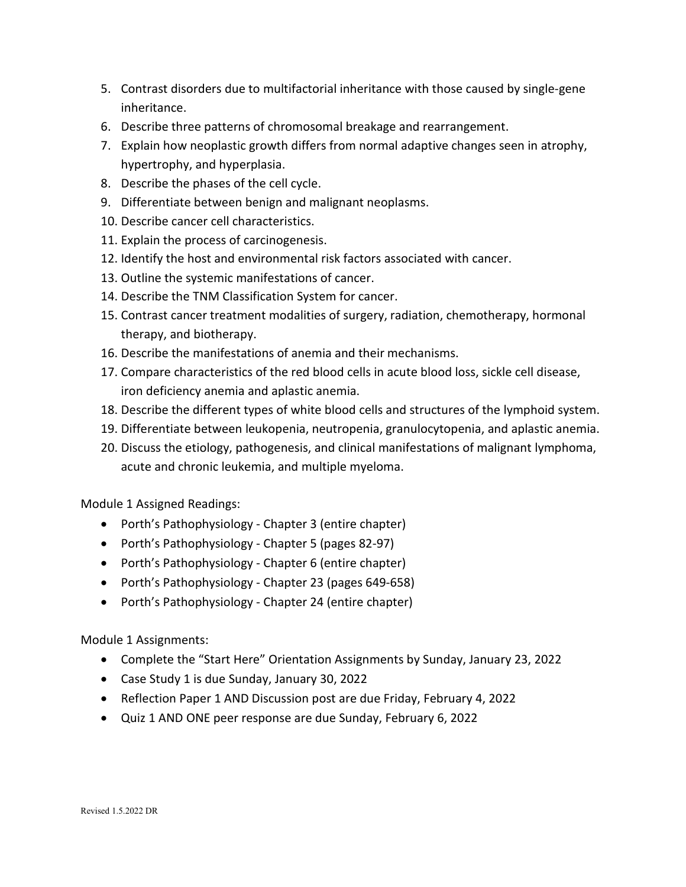- 5. Contrast disorders due to multifactorial inheritance with those caused by single-gene inheritance.
- 6. Describe three patterns of chromosomal breakage and rearrangement.
- 7. Explain how neoplastic growth differs from normal adaptive changes seen in atrophy, hypertrophy, and hyperplasia.
- 8. Describe the phases of the cell cycle.
- 9. Differentiate between benign and malignant neoplasms.
- 10. Describe cancer cell characteristics.
- 11. Explain the process of carcinogenesis.
- 12. Identify the host and environmental risk factors associated with cancer.
- 13. Outline the systemic manifestations of cancer.
- 14. Describe the TNM Classification System for cancer.
- 15. Contrast cancer treatment modalities of surgery, radiation, chemotherapy, hormonal therapy, and biotherapy.
- 16. Describe the manifestations of anemia and their mechanisms.
- 17. Compare characteristics of the red blood cells in acute blood loss, sickle cell disease, iron deficiency anemia and aplastic anemia.
- 18. Describe the different types of white blood cells and structures of the lymphoid system.
- 19. Differentiate between leukopenia, neutropenia, granulocytopenia, and aplastic anemia.
- 20. Discuss the etiology, pathogenesis, and clinical manifestations of malignant lymphoma, acute and chronic leukemia, and multiple myeloma.

Module 1 Assigned Readings:

- Porth's Pathophysiology Chapter 3 (entire chapter)
- Porth's Pathophysiology Chapter 5 (pages 82-97)
- Porth's Pathophysiology Chapter 6 (entire chapter)
- Porth's Pathophysiology Chapter 23 (pages 649-658)
- Porth's Pathophysiology Chapter 24 (entire chapter)

Module 1 Assignments:

- Complete the "Start Here" Orientation Assignments by Sunday, January 23, 2022
- Case Study 1 is due Sunday, January 30, 2022
- Reflection Paper 1 AND Discussion post are due Friday, February 4, 2022
- Quiz 1 AND ONE peer response are due Sunday, February 6, 2022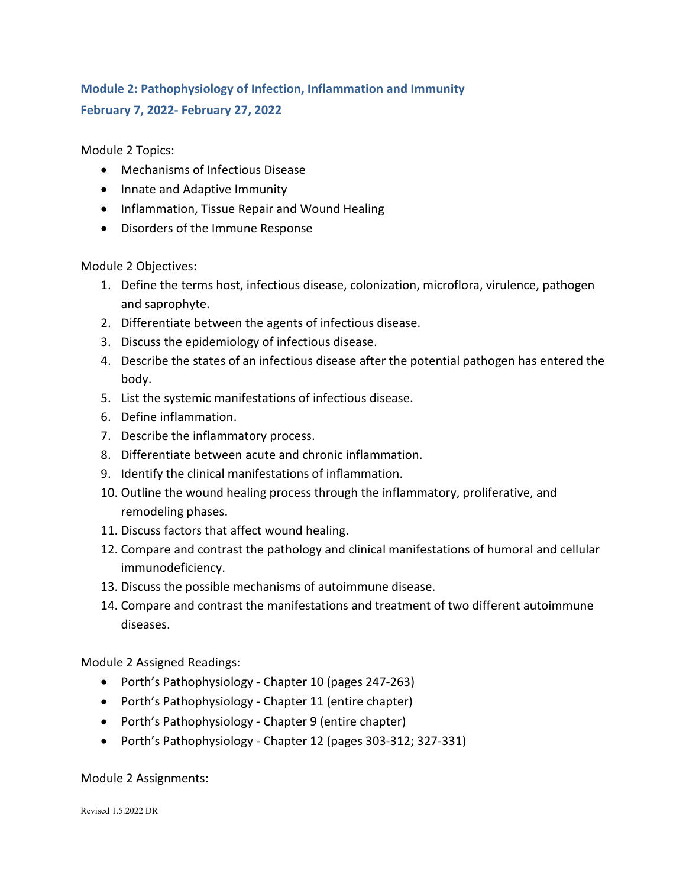# **Module 2: Pathophysiology of Infection, Inflammation and Immunity February 7, 2022- February 27, 2022**

Module 2 Topics:

- Mechanisms of Infectious Disease
- Innate and Adaptive Immunity
- Inflammation, Tissue Repair and Wound Healing
- Disorders of the Immune Response

Module 2 Objectives:

- 1. Define the terms host, infectious disease, colonization, microflora, virulence, pathogen and saprophyte.
- 2. Differentiate between the agents of infectious disease.
- 3. Discuss the epidemiology of infectious disease.
- 4. Describe the states of an infectious disease after the potential pathogen has entered the body.
- 5. List the systemic manifestations of infectious disease.
- 6. Define inflammation.
- 7. Describe the inflammatory process.
- 8. Differentiate between acute and chronic inflammation.
- 9. Identify the clinical manifestations of inflammation.
- 10. Outline the wound healing process through the inflammatory, proliferative, and remodeling phases.
- 11. Discuss factors that affect wound healing.
- 12. Compare and contrast the pathology and clinical manifestations of humoral and cellular immunodeficiency.
- 13. Discuss the possible mechanisms of autoimmune disease.
- 14. Compare and contrast the manifestations and treatment of two different autoimmune diseases.

Module 2 Assigned Readings:

- Porth's Pathophysiology Chapter 10 (pages 247-263)
- Porth's Pathophysiology Chapter 11 (entire chapter)
- Porth's Pathophysiology Chapter 9 (entire chapter)
- Porth's Pathophysiology Chapter 12 (pages 303-312; 327-331)

Module 2 Assignments: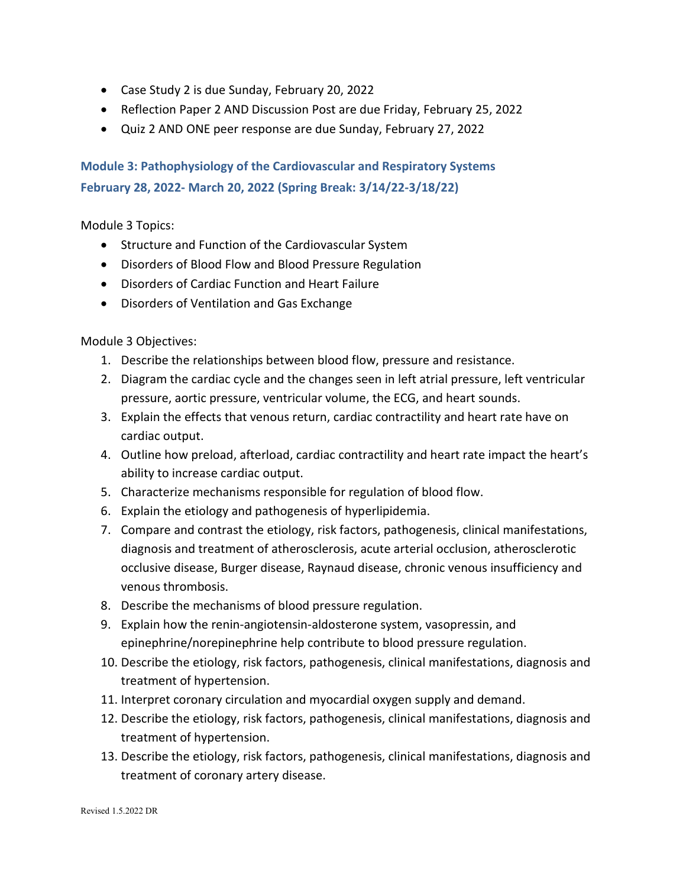- Case Study 2 is due Sunday, February 20, 2022
- Reflection Paper 2 AND Discussion Post are due Friday, February 25, 2022
- Quiz 2 AND ONE peer response are due Sunday, February 27, 2022

**Module 3: Pathophysiology of the Cardiovascular and Respiratory Systems February 28, 2022- March 20, 2022 (Spring Break: 3/14/22-3/18/22)**

Module 3 Topics:

- Structure and Function of the Cardiovascular System
- Disorders of Blood Flow and Blood Pressure Regulation
- Disorders of Cardiac Function and Heart Failure
- Disorders of Ventilation and Gas Exchange

Module 3 Objectives:

- 1. Describe the relationships between blood flow, pressure and resistance.
- 2. Diagram the cardiac cycle and the changes seen in left atrial pressure, left ventricular pressure, aortic pressure, ventricular volume, the ECG, and heart sounds.
- 3. Explain the effects that venous return, cardiac contractility and heart rate have on cardiac output.
- 4. Outline how preload, afterload, cardiac contractility and heart rate impact the heart's ability to increase cardiac output.
- 5. Characterize mechanisms responsible for regulation of blood flow.
- 6. Explain the etiology and pathogenesis of hyperlipidemia.
- 7. Compare and contrast the etiology, risk factors, pathogenesis, clinical manifestations, diagnosis and treatment of atherosclerosis, acute arterial occlusion, atherosclerotic occlusive disease, Burger disease, Raynaud disease, chronic venous insufficiency and venous thrombosis.
- 8. Describe the mechanisms of blood pressure regulation.
- 9. Explain how the renin-angiotensin-aldosterone system, vasopressin, and epinephrine/norepinephrine help contribute to blood pressure regulation.
- 10. Describe the etiology, risk factors, pathogenesis, clinical manifestations, diagnosis and treatment of hypertension.
- 11. Interpret coronary circulation and myocardial oxygen supply and demand.
- 12. Describe the etiology, risk factors, pathogenesis, clinical manifestations, diagnosis and treatment of hypertension.
- 13. Describe the etiology, risk factors, pathogenesis, clinical manifestations, diagnosis and treatment of coronary artery disease.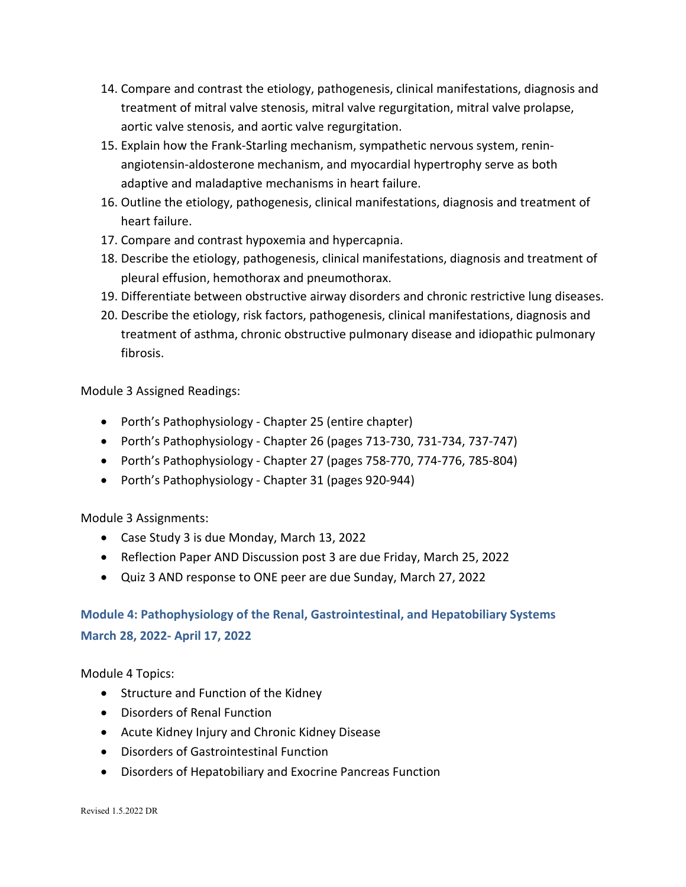- 14. Compare and contrast the etiology, pathogenesis, clinical manifestations, diagnosis and treatment of mitral valve stenosis, mitral valve regurgitation, mitral valve prolapse, aortic valve stenosis, and aortic valve regurgitation.
- 15. Explain how the Frank-Starling mechanism, sympathetic nervous system, reninangiotensin-aldosterone mechanism, and myocardial hypertrophy serve as both adaptive and maladaptive mechanisms in heart failure.
- 16. Outline the etiology, pathogenesis, clinical manifestations, diagnosis and treatment of heart failure.
- 17. Compare and contrast hypoxemia and hypercapnia.
- 18. Describe the etiology, pathogenesis, clinical manifestations, diagnosis and treatment of pleural effusion, hemothorax and pneumothorax.
- 19. Differentiate between obstructive airway disorders and chronic restrictive lung diseases.
- 20. Describe the etiology, risk factors, pathogenesis, clinical manifestations, diagnosis and treatment of asthma, chronic obstructive pulmonary disease and idiopathic pulmonary fibrosis.

Module 3 Assigned Readings:

- Porth's Pathophysiology Chapter 25 (entire chapter)
- Porth's Pathophysiology Chapter 26 (pages 713-730, 731-734, 737-747)
- Porth's Pathophysiology Chapter 27 (pages 758-770, 774-776, 785-804)
- Porth's Pathophysiology Chapter 31 (pages 920-944)

Module 3 Assignments:

- Case Study 3 is due Monday, March 13, 2022
- Reflection Paper AND Discussion post 3 are due Friday, March 25, 2022
- Quiz 3 AND response to ONE peer are due Sunday, March 27, 2022

# **Module 4: Pathophysiology of the Renal, Gastrointestinal, and Hepatobiliary Systems March 28, 2022- April 17, 2022**

Module 4 Topics:

- Structure and Function of the Kidney
- Disorders of Renal Function
- Acute Kidney Injury and Chronic Kidney Disease
- Disorders of Gastrointestinal Function
- Disorders of Hepatobiliary and Exocrine Pancreas Function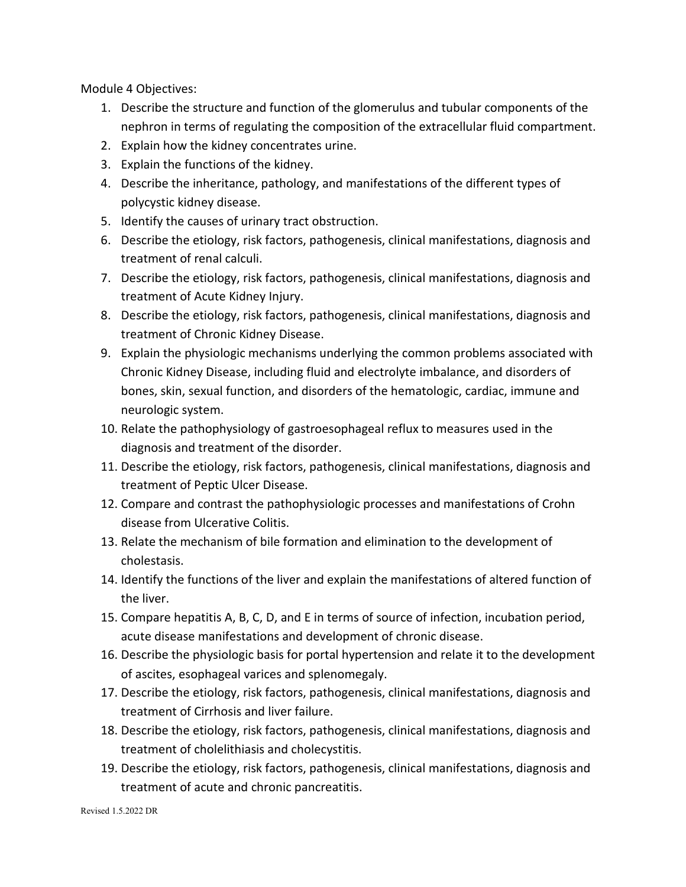Module 4 Objectives:

- 1. Describe the structure and function of the glomerulus and tubular components of the nephron in terms of regulating the composition of the extracellular fluid compartment.
- 2. Explain how the kidney concentrates urine.
- 3. Explain the functions of the kidney.
- 4. Describe the inheritance, pathology, and manifestations of the different types of polycystic kidney disease.
- 5. Identify the causes of urinary tract obstruction.
- 6. Describe the etiology, risk factors, pathogenesis, clinical manifestations, diagnosis and treatment of renal calculi.
- 7. Describe the etiology, risk factors, pathogenesis, clinical manifestations, diagnosis and treatment of Acute Kidney Injury.
- 8. Describe the etiology, risk factors, pathogenesis, clinical manifestations, diagnosis and treatment of Chronic Kidney Disease.
- 9. Explain the physiologic mechanisms underlying the common problems associated with Chronic Kidney Disease, including fluid and electrolyte imbalance, and disorders of bones, skin, sexual function, and disorders of the hematologic, cardiac, immune and neurologic system.
- 10. Relate the pathophysiology of gastroesophageal reflux to measures used in the diagnosis and treatment of the disorder.
- 11. Describe the etiology, risk factors, pathogenesis, clinical manifestations, diagnosis and treatment of Peptic Ulcer Disease.
- 12. Compare and contrast the pathophysiologic processes and manifestations of Crohn disease from Ulcerative Colitis.
- 13. Relate the mechanism of bile formation and elimination to the development of cholestasis.
- 14. Identify the functions of the liver and explain the manifestations of altered function of the liver.
- 15. Compare hepatitis A, B, C, D, and E in terms of source of infection, incubation period, acute disease manifestations and development of chronic disease.
- 16. Describe the physiologic basis for portal hypertension and relate it to the development of ascites, esophageal varices and splenomegaly.
- 17. Describe the etiology, risk factors, pathogenesis, clinical manifestations, diagnosis and treatment of Cirrhosis and liver failure.
- 18. Describe the etiology, risk factors, pathogenesis, clinical manifestations, diagnosis and treatment of cholelithiasis and cholecystitis.
- 19. Describe the etiology, risk factors, pathogenesis, clinical manifestations, diagnosis and treatment of acute and chronic pancreatitis.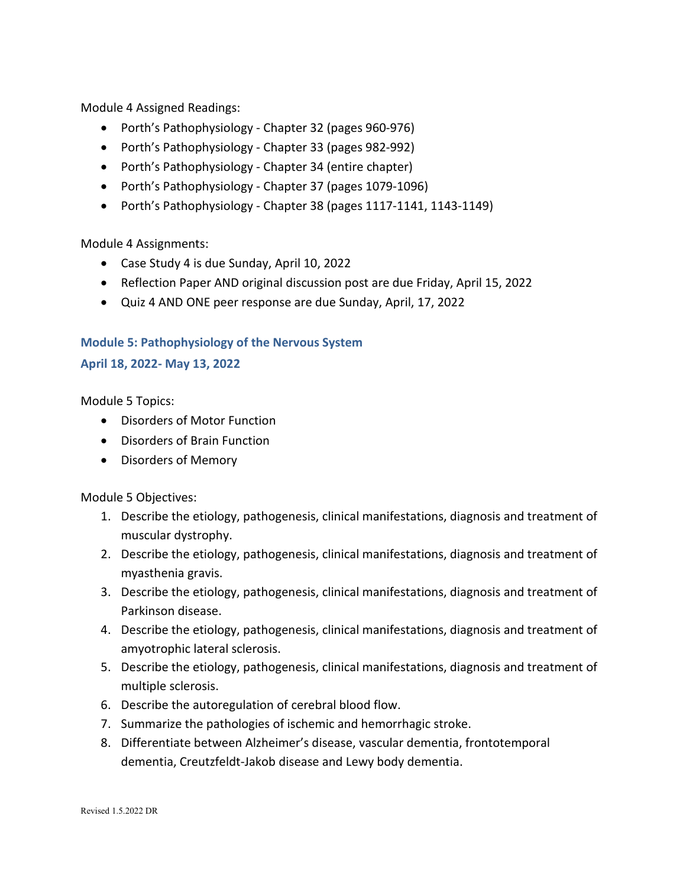Module 4 Assigned Readings:

- Porth's Pathophysiology Chapter 32 (pages 960-976)
- Porth's Pathophysiology Chapter 33 (pages 982-992)
- Porth's Pathophysiology Chapter 34 (entire chapter)
- Porth's Pathophysiology Chapter 37 (pages 1079-1096)
- Porth's Pathophysiology Chapter 38 (pages 1117-1141, 1143-1149)

Module 4 Assignments:

- Case Study 4 is due Sunday, April 10, 2022
- Reflection Paper AND original discussion post are due Friday, April 15, 2022
- Quiz 4 AND ONE peer response are due Sunday, April, 17, 2022

### **Module 5: Pathophysiology of the Nervous System**

### **April 18, 2022- May 13, 2022**

Module 5 Topics:

- Disorders of Motor Function
- Disorders of Brain Function
- Disorders of Memory

Module 5 Objectives:

- 1. Describe the etiology, pathogenesis, clinical manifestations, diagnosis and treatment of muscular dystrophy.
- 2. Describe the etiology, pathogenesis, clinical manifestations, diagnosis and treatment of myasthenia gravis.
- 3. Describe the etiology, pathogenesis, clinical manifestations, diagnosis and treatment of Parkinson disease.
- 4. Describe the etiology, pathogenesis, clinical manifestations, diagnosis and treatment of amyotrophic lateral sclerosis.
- 5. Describe the etiology, pathogenesis, clinical manifestations, diagnosis and treatment of multiple sclerosis.
- 6. Describe the autoregulation of cerebral blood flow.
- 7. Summarize the pathologies of ischemic and hemorrhagic stroke.
- 8. Differentiate between Alzheimer's disease, vascular dementia, frontotemporal dementia, Creutzfeldt-Jakob disease and Lewy body dementia.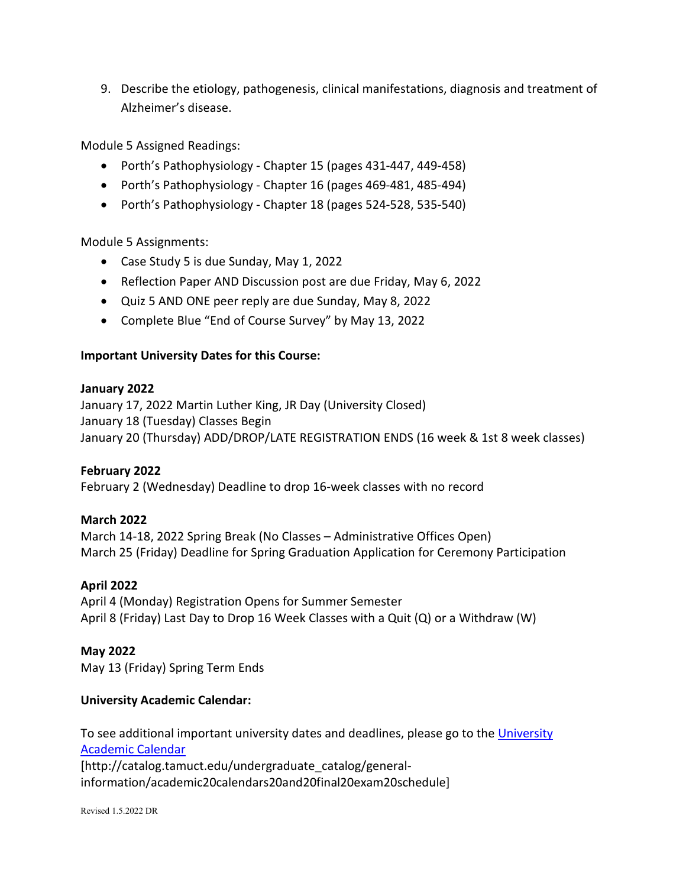9. Describe the etiology, pathogenesis, clinical manifestations, diagnosis and treatment of Alzheimer's disease.

Module 5 Assigned Readings:

- Porth's Pathophysiology Chapter 15 (pages 431-447, 449-458)
- Porth's Pathophysiology Chapter 16 (pages 469-481, 485-494)
- Porth's Pathophysiology Chapter 18 (pages 524-528, 535-540)

### Module 5 Assignments:

- Case Study 5 is due Sunday, May 1, 2022
- Reflection Paper AND Discussion post are due Friday, May 6, 2022
- Quiz 5 AND ONE peer reply are due Sunday, May 8, 2022
- Complete Blue "End of Course Survey" by May 13, 2022

### **Important University Dates for this Course:**

### **January 2022**

January 17, 2022 Martin Luther King, JR Day (University Closed) January 18 (Tuesday) Classes Begin January 20 (Thursday) ADD/DROP/LATE REGISTRATION ENDS (16 week & 1st 8 week classes)

## **February 2022**

February 2 (Wednesday) Deadline to drop 16-week classes with no record

## **March 2022**

March 14-18, 2022 Spring Break (No Classes – Administrative Offices Open) March 25 (Friday) Deadline for Spring Graduation Application for Ceremony Participation

## **April 2022**

April 4 (Monday) Registration Opens for Summer Semester April 8 (Friday) Last Day to Drop 16 Week Classes with a Quit (Q) or a Withdraw (W)

### **May 2022**

May 13 (Friday) Spring Term Ends

## **University Academic Calendar:**

To see additional important university dates and deadlines, please go to the University [Academic Calendar](http://catalog.tamuct.edu/undergraduate_catalog/general-information/academic20calendars20and20final20exam20schedule/) [http://catalog.tamuct.edu/undergraduate\_catalog/generalinformation/academic20calendars20and20final20exam20schedule]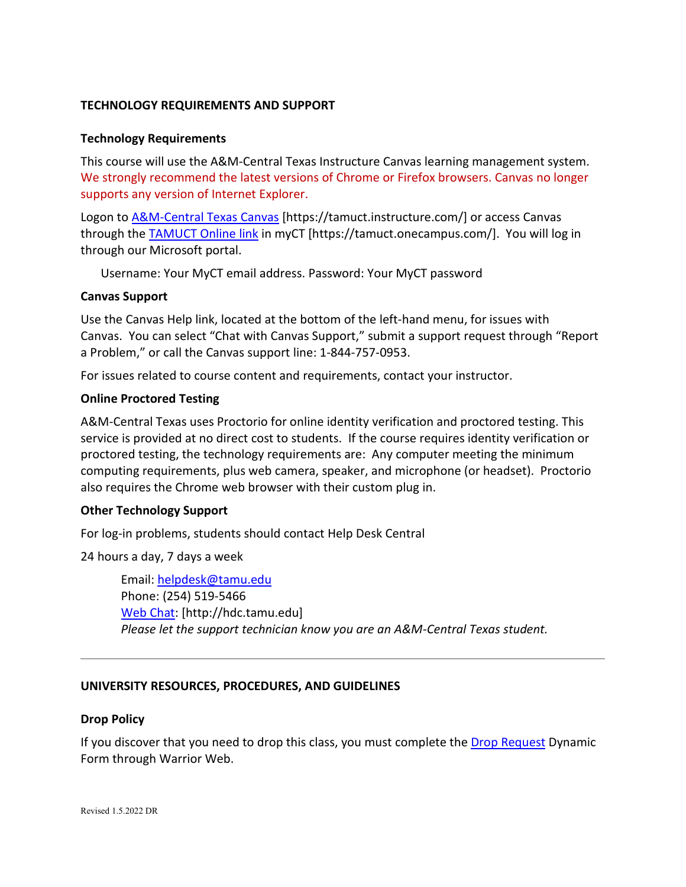## **TECHNOLOGY REQUIREMENTS AND SUPPORT**

### **Technology Requirements**

This course will use the A&M-Central Texas Instructure Canvas learning management system. We strongly recommend the latest versions of Chrome or Firefox browsers. Canvas no longer supports any version of Internet Explorer.

Logon to [A&M-Central Texas Canvas](https://tamuct.instructure.com/) [https://tamuct.instructure.com/] or access Canvas through the **TAMUCT Online link** in myCT [https://tamuct.onecampus.com/]. You will log in through our Microsoft portal.

Username: Your MyCT email address. Password: Your MyCT password

### **Canvas Support**

Use the Canvas Help link, located at the bottom of the left-hand menu, for issues with Canvas. You can select "Chat with Canvas Support," submit a support request through "Report a Problem," or call the Canvas support line: 1-844-757-0953.

For issues related to course content and requirements, contact your instructor.

### **Online Proctored Testing**

A&M-Central Texas uses Proctorio for online identity verification and proctored testing. This service is provided at no direct cost to students. If the course requires identity verification or proctored testing, the technology requirements are: Any computer meeting the minimum computing requirements, plus web camera, speaker, and microphone (or headset). Proctorio also requires the Chrome web browser with their custom plug in.

### **Other Technology Support**

For log-in problems, students should contact Help Desk Central

24 hours a day, 7 days a week

Email: [helpdesk@tamu.edu](mailto:helpdesk@tamu.edu) Phone: (254) 519-5466 [Web Chat:](http://hdc.tamu.edu/) [http://hdc.tamu.edu] *Please let the support technician know you are an A&M-Central Texas student.*

## **UNIVERSITY RESOURCES, PROCEDURES, AND GUIDELINES**

### **Drop Policy**

If you discover that you need to drop this class, you must complete the [Drop Request](https://dynamicforms.ngwebsolutions.com/casAuthentication.ashx?InstID=eaed95b9-f2be-45f3-a37d-46928168bc10&targetUrl=https%3A%2F%2Fdynamicforms.ngwebsolutions.com%2FSubmit%2FForm%2FStart%2F53b8369e-0502-4f36-be43-f02a4202f612) Dynamic Form through Warrior Web.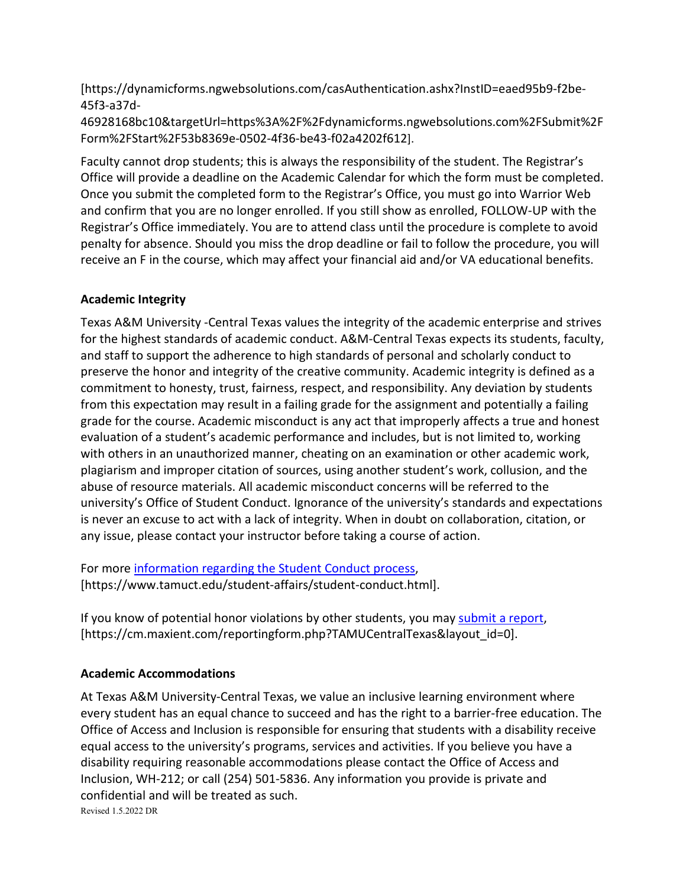[https://dynamicforms.ngwebsolutions.com/casAuthentication.ashx?InstID=eaed95b9-f2be-45f3-a37d-

46928168bc10&targetUrl=https%3A%2F%2Fdynamicforms.ngwebsolutions.com%2FSubmit%2F Form%2FStart%2F53b8369e-0502-4f36-be43-f02a4202f612].

Faculty cannot drop students; this is always the responsibility of the student. The Registrar's Office will provide a deadline on the Academic Calendar for which the form must be completed. Once you submit the completed form to the Registrar's Office, you must go into Warrior Web and confirm that you are no longer enrolled. If you still show as enrolled, FOLLOW-UP with the Registrar's Office immediately. You are to attend class until the procedure is complete to avoid penalty for absence. Should you miss the drop deadline or fail to follow the procedure, you will receive an F in the course, which may affect your financial aid and/or VA educational benefits.

# **Academic Integrity**

Texas A&M University -Central Texas values the integrity of the academic enterprise and strives for the highest standards of academic conduct. A&M-Central Texas expects its students, faculty, and staff to support the adherence to high standards of personal and scholarly conduct to preserve the honor and integrity of the creative community. Academic integrity is defined as a commitment to honesty, trust, fairness, respect, and responsibility. Any deviation by students from this expectation may result in a failing grade for the assignment and potentially a failing grade for the course. Academic misconduct is any act that improperly affects a true and honest evaluation of a student's academic performance and includes, but is not limited to, working with others in an unauthorized manner, cheating on an examination or other academic work, plagiarism and improper citation of sources, using another student's work, collusion, and the abuse of resource materials. All academic misconduct concerns will be referred to the university's Office of Student Conduct. Ignorance of the university's standards and expectations is never an excuse to act with a lack of integrity. When in doubt on collaboration, citation, or any issue, please contact your instructor before taking a course of action.

For more [information regarding the Student Conduct process,](https://nam04.safelinks.protection.outlook.com/?url=https%3A%2F%2Fwww.tamuct.edu%2Fstudent-affairs%2Fstudent-conduct.html&data=04%7C01%7Clisa.bunkowski%40tamuct.edu%7Ccfb6e486f24745f53e1a08d910055cb2%7C9eed4e3000f744849ff193ad8005acec%7C0%7C0%7C637558437485252160%7CUnknown%7CTWFpbGZsb3d8eyJWIjoiMC4wLjAwMDAiLCJQIjoiV2luMzIiLCJBTiI6Ik1haWwiLCJXVCI6Mn0%3D%7C1000&sdata=yjftDEVHvLX%2FhM%2FcFU0B99krV1RgEWR%2BJ%2BhvtoR6TYk%3D&reserved=0) [https://www.tamuct.edu/student-affairs/student-conduct.html].

If you know of potential honor violations by other students, you may [submit a report,](https://nam04.safelinks.protection.outlook.com/?url=https%3A%2F%2Fcm.maxient.com%2Freportingform.php%3FTAMUCentralTexas%26layout_id%3D0&data=04%7C01%7Clisa.bunkowski%40tamuct.edu%7Ccfb6e486f24745f53e1a08d910055cb2%7C9eed4e3000f744849ff193ad8005acec%7C0%7C0%7C637558437485262157%7CUnknown%7CTWFpbGZsb3d8eyJWIjoiMC4wLjAwMDAiLCJQIjoiV2luMzIiLCJBTiI6Ik1haWwiLCJXVCI6Mn0%3D%7C1000&sdata=CXGkOa6uPDPX1IMZ87z3aZDq2n91xfHKu4MMS43Ejjk%3D&reserved=0) [https://cm.maxient.com/reportingform.php?TAMUCentralTexas&layout\_id=0].

# **Academic Accommodations**

Revised 1.5.2022 DR At Texas A&M University-Central Texas, we value an inclusive learning environment where every student has an equal chance to succeed and has the right to a barrier-free education. The Office of Access and Inclusion is responsible for ensuring that students with a disability receive equal access to the university's programs, services and activities. If you believe you have a disability requiring reasonable accommodations please contact the Office of Access and Inclusion, WH-212; or call (254) 501-5836. Any information you provide is private and confidential and will be treated as such.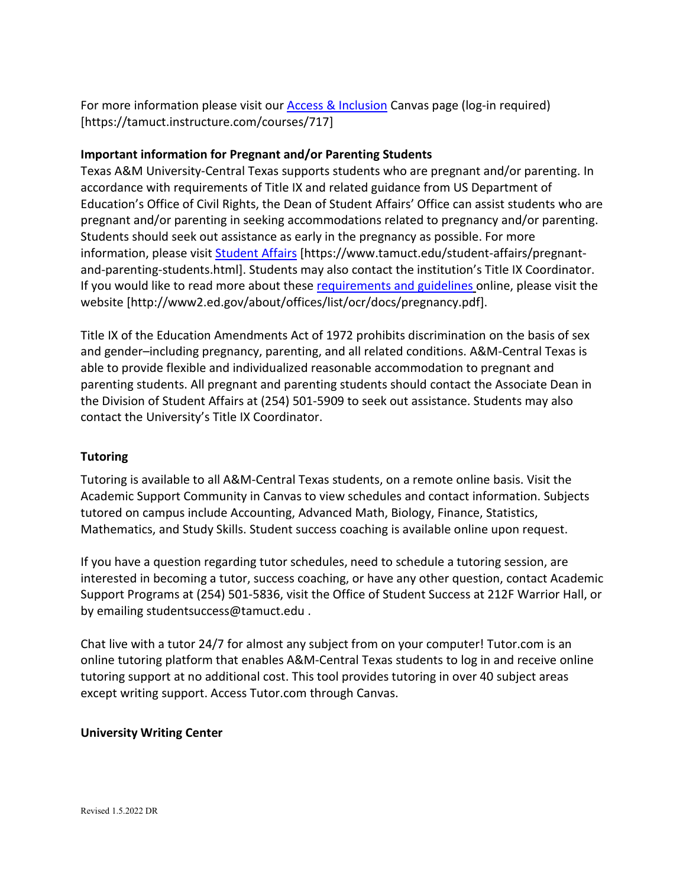For more information please visit our **Access & Inclusion** Canvas page (log-in required) [https://tamuct.instructure.com/courses/717]

# **Important information for Pregnant and/or Parenting Students**

Texas A&M University-Central Texas supports students who are pregnant and/or parenting. In accordance with requirements of Title IX and related guidance from US Department of Education's Office of Civil Rights, the Dean of Student Affairs' Office can assist students who are pregnant and/or parenting in seeking accommodations related to pregnancy and/or parenting. Students should seek out assistance as early in the pregnancy as possible. For more information, please visit [Student Affairs](https://www.tamuct.edu/student-affairs/pregnant-and-parenting-students.html) [https://www.tamuct.edu/student-affairs/pregnantand-parenting-students.html]. Students may also contact the institution's Title IX Coordinator. If you would like to read more about thes[e requirements and guidelines](http://www2.ed.gov/about/offices/list/ocr/docs/pregnancy.pdf) online, please visit the website [http://www2.ed.gov/about/offices/list/ocr/docs/pregnancy.pdf].

Title IX of the Education Amendments Act of 1972 prohibits discrimination on the basis of sex and gender–including pregnancy, parenting, and all related conditions. A&M-Central Texas is able to provide flexible and individualized reasonable accommodation to pregnant and parenting students. All pregnant and parenting students should contact the Associate Dean in the Division of Student Affairs at (254) 501-5909 to seek out assistance. Students may also contact the University's Title IX Coordinator.

## **Tutoring**

Tutoring is available to all A&M-Central Texas students, on a remote online basis. Visit the Academic Support Community in Canvas to view schedules and contact information. Subjects tutored on campus include Accounting, Advanced Math, Biology, Finance, Statistics, Mathematics, and Study Skills. Student success coaching is available online upon request.

If you have a question regarding tutor schedules, need to schedule a tutoring session, are interested in becoming a tutor, success coaching, or have any other question, contact Academic Support Programs at (254) 501-5836, visit the Office of Student Success at 212F Warrior Hall, or by emailing studentsuccess@tamuct.edu .

Chat live with a tutor 24/7 for almost any subject from on your computer! Tutor.com is an online tutoring platform that enables A&M-Central Texas students to log in and receive online tutoring support at no additional cost. This tool provides tutoring in over 40 subject areas except writing support. Access Tutor.com through Canvas.

## **University Writing Center**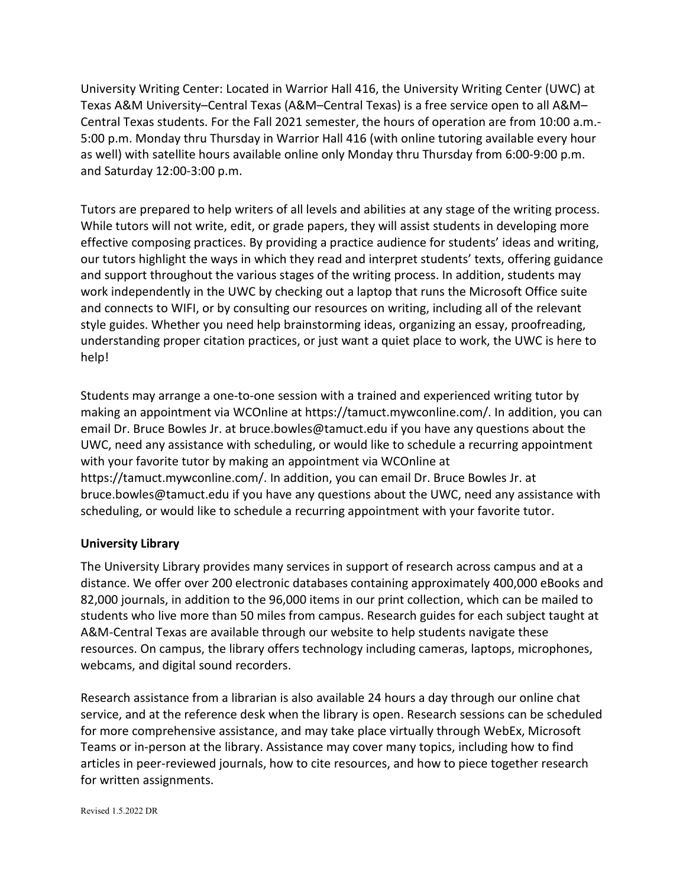University Writing Center: Located in Warrior Hall 416, the University Writing Center (UWC) at Texas A&M University–Central Texas (A&M–Central Texas) is a free service open to all A&M– Central Texas students. For the Fall 2021 semester, the hours of operation are from 10:00 a.m.- 5:00 p.m. Monday thru Thursday in Warrior Hall 416 (with online tutoring available every hour as well) with satellite hours available online only Monday thru Thursday from 6:00-9:00 p.m. and Saturday 12:00-3:00 p.m.

Tutors are prepared to help writers of all levels and abilities at any stage of the writing process. While tutors will not write, edit, or grade papers, they will assist students in developing more effective composing practices. By providing a practice audience for students' ideas and writing, our tutors highlight the ways in which they read and interpret students' texts, offering guidance and support throughout the various stages of the writing process. In addition, students may work independently in the UWC by checking out a laptop that runs the Microsoft Office suite and connects to WIFI, or by consulting our resources on writing, including all of the relevant style guides. Whether you need help brainstorming ideas, organizing an essay, proofreading, understanding proper citation practices, or just want a quiet place to work, the UWC is here to help!

Students may arrange a one-to-one session with a trained and experienced writing tutor by making an appointment via WCOnline at https://tamuct.mywconline.com/. In addition, you can email Dr. Bruce Bowles Jr. at bruce.bowles@tamuct.edu if you have any questions about the UWC, need any assistance with scheduling, or would like to schedule a recurring appointment with your favorite tutor by making an appointment via WCOnline at https://tamuct.mywconline.com/. In addition, you can email Dr. Bruce Bowles Jr. at bruce.bowles@tamuct.edu if you have any questions about the UWC, need any assistance with scheduling, or would like to schedule a recurring appointment with your favorite tutor.

## **University Library**

The University Library provides many services in support of research across campus and at a distance. We offer over 200 electronic databases containing approximately 400,000 eBooks and 82,000 journals, in addition to the 96,000 items in our print collection, which can be mailed to students who live more than 50 miles from campus. Research guides for each subject taught at A&M-Central Texas are available through our website to help students navigate these resources. On campus, the library offers technology including cameras, laptops, microphones, webcams, and digital sound recorders.

Research assistance from a librarian is also available 24 hours a day through our online chat service, and at the reference desk when the library is open. Research sessions can be scheduled for more comprehensive assistance, and may take place virtually through WebEx, Microsoft Teams or in-person at the library. Assistance may cover many topics, including how to find articles in peer-reviewed journals, how to cite resources, and how to piece together research for written assignments.